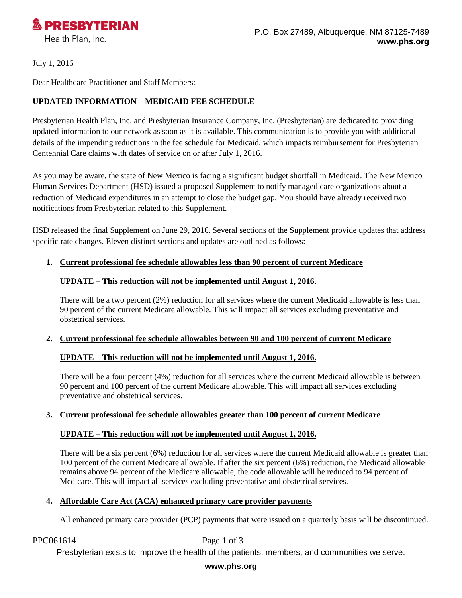

July 1, 2016

Dear Healthcare Practitioner and Staff Members:

# **UPDATED INFORMATION – MEDICAID FEE SCHEDULE**

Presbyterian Health Plan, Inc. and Presbyterian Insurance Company, Inc. (Presbyterian) are dedicated to providing updated information to our network as soon as it is available. This communication is to provide you with additional details of the impending reductions in the fee schedule for Medicaid, which impacts reimbursement for Presbyterian Centennial Care claims with dates of service on or after July 1, 2016.

As you may be aware, the state of New Mexico is facing a significant budget shortfall in Medicaid. The New Mexico Human Services Department (HSD) issued a proposed Supplement to notify managed care organizations about a reduction of Medicaid expenditures in an attempt to close the budget gap. You should have already received two notifications from Presbyterian related to this Supplement.

HSD released the final Supplement on June 29, 2016. Several sections of the Supplement provide updates that address specific rate changes. Eleven distinct sections and updates are outlined as follows:

### **1. Current professional fee schedule allowables less than 90 percent of current Medicare**

### **UPDATE – This reduction will not be implemented until August 1, 2016.**

There will be a two percent (2%) reduction for all services where the current Medicaid allowable is less than 90 percent of the current Medicare allowable. This will impact all services excluding preventative and obstetrical services.

### **2. Current professional fee schedule allowables between 90 and 100 percent of current Medicare**

## **UPDATE – This reduction will not be implemented until August 1, 2016.**

There will be a four percent (4%) reduction for all services where the current Medicaid allowable is between 90 percent and 100 percent of the current Medicare allowable. This will impact all services excluding preventative and obstetrical services.

### **3. Current professional fee schedule allowables greater than 100 percent of current Medicare**

## **UPDATE – This reduction will not be implemented until August 1, 2016.**

There will be a six percent (6%) reduction for all services where the current Medicaid allowable is greater than 100 percent of the current Medicare allowable. If after the six percent (6%) reduction, the Medicaid allowable remains above 94 percent of the Medicare allowable, the code allowable will be reduced to 94 percent of Medicare. This will impact all services excluding preventative and obstetrical services.

### **4. Affordable Care Act (ACA) enhanced primary care provider payments**

All enhanced primary care provider (PCP) payments that were issued on a quarterly basis will be discontinued.

#### PPC061614 Page 1 of 3

Presbyterian exists to improve the health of the patients, members, and communities we serve.

### **www.phs.org**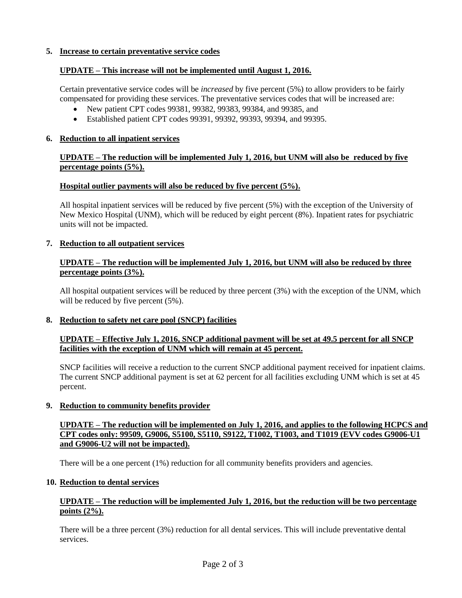### **5. Increase to certain preventative service codes**

## **UPDATE – This increase will not be implemented until August 1, 2016.**

Certain preventative service codes will be *increased* by five percent (5%) to allow providers to be fairly compensated for providing these services. The preventative services codes that will be increased are:

- New patient CPT codes 99381, 99382, 99383, 99384, and 99385, and
- Established patient CPT codes 99391, 99392, 99393, 99394, and 99395.

### **6. Reduction to all inpatient services**

## **UPDATE – The reduction will be implemented July 1, 2016, but UNM will also be reduced by five percentage points (5%).**

### **Hospital outlier payments will also be reduced by five percent (5%).**

All hospital inpatient services will be reduced by five percent (5%) with the exception of the University of New Mexico Hospital (UNM), which will be reduced by eight percent (8%). Inpatient rates for psychiatric units will not be impacted.

### **7. Reduction to all outpatient services**

### **UPDATE – The reduction will be implemented July 1, 2016, but UNM will also be reduced by three percentage points (3%).**

All hospital outpatient services will be reduced by three percent (3%) with the exception of the UNM, which will be reduced by five percent  $(5\%)$ .

### **8. Reduction to safety net care pool (SNCP) facilities**

## **UPDATE – Effective July 1, 2016, SNCP additional payment will be set at 49.5 percent for all SNCP facilities with the exception of UNM which will remain at 45 percent.**

SNCP facilities will receive a reduction to the current SNCP additional payment received for inpatient claims. The current SNCP additional payment is set at 62 percent for all facilities excluding UNM which is set at 45 percent.

### **9. Reduction to community benefits provider**

### **UPDATE – The reduction will be implemented on July 1, 2016, and applies to the following HCPCS and CPT codes only: 99509, G9006, S5100, S5110, S9122, T1002, T1003, and T1019 (EVV codes G9006-U1 and G9006-U2 will not be impacted).**

There will be a one percent (1%) reduction for all community benefits providers and agencies.

### **10. Reduction to dental services**

### **UPDATE – The reduction will be implemented July 1, 2016, but the reduction will be two percentage points (2%).**

There will be a three percent (3%) reduction for all dental services. This will include preventative dental services.